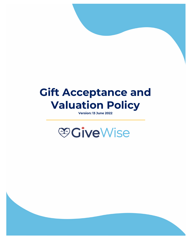# **Gift Acceptance and Valuation Policy**

**Version: 13 June 2022**

# **©GiveWise**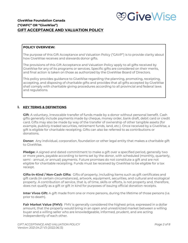

# **GiveWise Foundation Canada ("GWFC" OR "GiveWise") GIFT ACCEPTANCE AND VALUATION POLICY**

# **POLICY OVERVIEW:**

The purpose of this Gift Acceptance and Valuation Policy ("GAVP") is to provide clarity about how GiveWise receives and stewards donor gifts.

The provisions of this Gift Acceptance and Valuation Policy apply to all gifts received by GiveWise for any of its programs or services. Specific gifts are considered on their merits, and final action is taken on those as authorized by the GiveWise Board of Directors.

This policy provides guidance to GiveWise regarding the planning, promoting, receipting, accepting, and disposing of charitable gifts and provides that all gifts accepted by GiveWise shall comply with charitable giving procedures according to all provincial and federal laws and regulations.

# **I. KEY TERMS & DEFINITIONS**

**Gift**: A voluntary, irrevocable transfer of funds made by a donor without personal benefit. Cash gifts generally include payments made by cheque, money order, bank draft, debit card or credit card. Gifts may also be made by way of the transfer of ownership of other tangible assets (for example, publicly-traded securities, retirement funds, land, etc.). Once received by a GiveWise, a gift is eligible for charitable receipting. Gifts can also be referred to as contributions or donations.

**Donor:** Any individual, corporation, foundation or other legal entity that makes a charitable gift to GiveWise.

**Pledge:** A signed and dated commitment to make a gift over a specified period, generally two or more years, payable according to terms set by the donor, with scheduled (monthly, quarterly, semi - annual, or annual) payments. Future promises do not constitute a gift and are not eligible for charitable receipting. Funds must be received by GiveWise to be eligible for a tax receipt.

**Gifts-in-Kind / Non-Cash Gifts:** Gifts of property, including items such as gift certificates and gift cards (in certain circumstances), artwork, equipment, securities, and cultural and ecological property. A contribution of service, that is, of time, skills or efforts, is not property and, therefore, does not qualify as a gift or gift in kind for purposes of issuing official donation receipts.

**Inter Vivos Gift:** A gift made from one or more persons, during the lifetime of those persons (i.e. prior to death).

**Fair Market Value (FMV):** FMV is generally considered the highest price, expressed in a dollar amount, that the property would bring in an open and unrestricted market between a willing buyer and a willing seller who are knowledgeable, informed, prudent, and are acting independently of each other.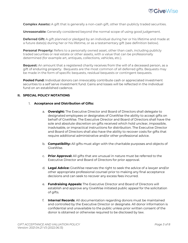

**Complex Assets::** A gift that is generally a non-cash gift, other than publicly traded securities.

**Unreasonable:** Generally considered beyond the normal scope of using good judgement.

**Deferred Gift:** A gift planned or pledged by an individual during her or his lifetime and made at a future date(s) during her or his lifetime, or as a testamentary gift (see definition below).

**Personal Property:** Refers to a personally owned asset, other than cash, including publicly traded securities or real estate or other assets, with a value that can be professionally determined (for example art, antiques, collections, vehicles, etc.).

**Bequest:** An amount that a registered charity receives from the will of a deceased person, as a gift of enduring property. Bequests are the most common of all deferred gifts. Bequests may be made in the form of specific bequests, residual bequests or contingent bequests.

**Pooled Fund:** Individual donors can irrevocably contribute cash or appreciated investment securities to a self serve investment fund. Gains and losses will be reflected in the individual fund on an established cadence.

# **II. SPECIAL POLICY NOTATIONS**

#### 1. **Acceptance and Distribution of Gifts:**

- a. **Oversight:** The Executive Director and Board of Directors shall delegate to designated employees or designates of GiveWise the ability to accept gifts on behalf of GiveWise. The Executive Director and Board of Directors shall have the sole and absolute discretion on gifts received which hold unclear, impossible, inadvisable, or impractical instructions for distribution. The Executive Director and Board of Directors shall also have the ability to recover costs for gifts that require additional administrative and/or other professional advice.
- b. **Compatibility:** All gifts must align with the charitable purposes and objects of GiveWise.
- c. **Prior Approval:** All gifts that are unusual in nature must be referred to the Executive Director and Board of Directors for prior approval.
- d. **Legal Advice:** GiveWise reserves the right to seek the advice of a lawyer and/or other appropriate professional counsel prior to making any final acceptance decisions and can seek to recover any excess fees incurred.
- e. **Fundraising Appeals:** The Executive Director and Board of Directors will establish and approve any GiveWise initiated public appeal for the solicitation of gifts.
- f. **Internal Records**: All documentation regarding donors must be maintained and controlled by the Executive Director or designate. All donor information is confidential and unavailable to the public unless prior written consent of the donor is obtained or otherwise required to be disclosed by law.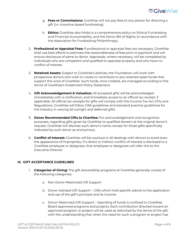

- g. **Fees or Commissions:** GiveWise will not pay fees to any person for directing a gift (i.e. incentive based fundraising)
- h. **Ethics:** GiveWise also holds to a comprehensive policy on Ethical Fundraising and Financial Accountability, and the Donor Bill of Rights (in accordance with the Association for Fundraising Philanthropy).
- 2. **Professional or Appraisal Fees:** If professional or appraisal fees are necessary, GiveWise shall use best efforts to estimate the reasonableness of fees prior to payment and will ensure disclosure of same to donor. Appraisals, where necessary, will be completed by individuals who are competent and qualified to appraise property and who have no conflict of interest.
- 3. **Retained Assets:** Subject to GiveWise's policies, the Foundation will work with prospective donors who wish to create or contribute to any retained asset funds that support the work of GiveWise. Such funds, once created, are managed according to the terms of GiveWise's Investment Policy Statement.
- 4. **Gift Acknowledgement & Valuation:** All accepted gifts will be acknowledged immediately with a notification, and immediate access to an official tax receipt, if applicable. All official tax receipts for gifts will comply with the Income Tax Act (ITA) and Regulations. GiveWise will follow CRA guidelines and standard practice guidelines for the industry in valuing all outright and deferred gifts.
- 5. **Donor Recommended Gifts to Charities:** For acknowledgement and recognition purposes, regarding gifts given by GiveWise to qualified donee's at the original donor's request, GiveWise will disclose such donor's name, except for those gifts specifically indicated by such donor as anonymous.
- 6. **Conflict of Interest:** GiveWise will be cautious in all dealings with donors to avoid even the appearance of impropriety. If a direct or indirect conflict of interest is disclosed to a GiveWise employee or designate, that employee or designate will refer this to the Executive Director.

# **III. GIFT ACCEPTANCE GUIDELINES**

- 1. **Categories of Giving:** The gift stewardship programs at GiveWise generally consist of the following categories:
	- a. Non Donor-Restricted Gift Support
	- b. Donor-Advised Gift Support Gifts which hold specific advice to the application and use of the gift's principal and its income.
	- c. Donor-Restricted Gift Support Spending of funds is confined to GiveWise Board approved programs and projects. Each contribution directed toward an approved program or project will be used as restricted by the terms of the gift, with the understanding that when the need for such a program or project has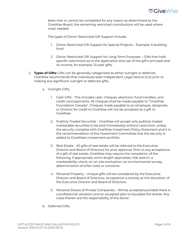

been met or cannot be completed for any reason as determined by the GiveWise Board, the remaining restricted contributions will be used where most needed.

The types of Donor-Restricted Gift Support include:

- 1. Donor-Restricted Gift Support for Special Projects Example: A building fund
- 2. Donor-Restricted Gift Support for Long-Term Purposes Gifts that hold specific restrictions as to the application and use of the gift's principal and its income, for example, 10-year gifts.
- 2. **Types of Gifts:** Gifts can be generally categorized as either outright or deferred. GiveWise recommends that individuals seek Independent Legal Advice (ILA) prior to making any significant outright or deferred gifts.
	- a. Outright Gifts:
		- 1. Cash Gifts This includes cash, cheques, electronic fund transfers, and credit card payments. All cheques shall be made payable to "GiveWise Foundation Canada". Cheques made payable to an employee, designate, or Director for credit to GiveWise will not be accepted as a gift to GiveWise.
		- 2. Publicly-Traded Securities GiveWise will accept only publicly-traded marketable securities to be sold immediately without restriction, unless the security complies with GiveWise Investment Policy Statement and it is the recommendation of the Investment Committee that the security is added to GiveWise's investment portfolio.
		- 3. Real Estate All gifts of real estate will be referred to the Executive Director and Board of Directors for prior approval. Prior to any acceptance of a gift of real estate, GiveWise may require the completion of the following, if appropriate: *arms-length appraisals, title search, a marketability check, an on-site evaluation, an environmental survey, determination of other costs or concerns.*
		- 4. Personal Property Unique gifts will be considered by the Executive Director and Board of Directors. Acceptance is entirely at the discretion of the Executive Director and Board of Directors.
		- 5. Personal Shares of Private Companies Will be accepted provided there is a professional valuation and an accepted plan to liquidate the shares. Any costs therein are the responsibility of the donor.
	- b. Deferred Gifts: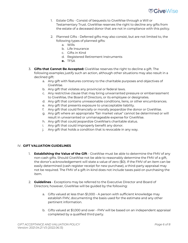

- 1. Estate Gifts Consist of bequests to GiveWise through a Will or Testamentary Trust. GiveWise reserves the right to decline any gifts from the estate of a deceased donor that are not in compliance with this policy.
- 2. Planned Gifts Deferred gifts may also consist, but are not limited to, the following types of planned gifts:
	- a. Wills
	- b. Life Insurance
	- c. Gifts in Kind
	- d. Registered Retirement Instruments
	- **e.** TFSA
- 3. **Gifts that Cannot Be Accepted:** GiveWise reserves the right to decline a gift. The following examples justify such an action, although other situations may also result in a declined gift:
	- a. Any gift with features contrary to the charitable purposes and objectives of GiveWise.
	- b. Any gift that violates any provincial or federal laws.
	- c. Any restrictive clause that may bring unwarranted pressure or embarrassment to GiveWise, the Board of Directors, or its employee or designates.
	- d. Any gift that contains unreasonable conditions, liens, or other encumbrances.
	- e. Any gift that presents exposure to unacceptable liability.
	- f. Any gift that could financially or morally jeopardize the donor or GiveWise.
	- g. Any gift where an appropriate "fair market value" cannot be determined or will result in unwarranted or unmanageable expense for GiveWise.
	- h. Any gift that could jeopardize GiveWise's charitable status.
	- i. Any gift that could improperly benefit any donor.
	- j. Any gift that holds a condition that is revocable in any way.

# IV. **GIFT VALUATION GUIDELINES**

- 1. **Establishing the Value of the Gift** GiveWise must be able to determine the FMV of any non-cash gifts. Should GiveWise not be able to reasonably determine the FMV of a gift, the donor's acknowledgement will state a value of zero (\$0). If the FMV of an item can be easily determined (cash register receipt for new purchase), a third-party appraisal may not be required. The FMV of a gift-in-kind does not include taxes paid on purchasing the item.
- 2. **Guidelines**  Exceptions may be referred to the Executive Director and Board of Directors; however, GiveWise will be guided by the following:
	- a. Gifts valued at less than \$1,000 A person with sufficient knowledge may establish FMV, documenting the basis used for the estimate and any other pertinent information.
	- b. Gifts valued at \$1,000 and over FMV will be based on an independent appraisal completed by a qualified third party.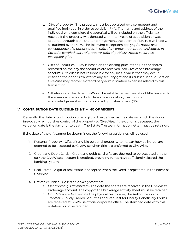

- c. Gifts of property The property must be appraised by a competent and qualified individual in order to establish FMV. The name and address of the individual who complete the appraisal will be included on the official tax receipt. If the property was donated within ten years of acquisition or was acquired through a tax shelter arrangement, the deemed FMV rule will apply, as outlined by the CRA. The following exceptions apply*: gifts made as a consequence of a donor's death, gifts of inventory, real property situated in Canada, certified cultural property, gifts of publicly-traded securities, ecological gifts.*
- d. Gifts of Securities FMV is based on the closing price of the units or shares recorded on the day the securities are received into GiveWise's brokerage account. GiveWise is not responsible for any loss in value that may occur between the donor's transfer of any security gift and its subsequent liquidation. GiveWise may recover extraordinary administration expenses related to this transaction.
- e. Gifts-In-Kind The date of FMV will be established as the date of title transfer. In the absence of any ability to determine valuation, the donor's acknowledgement will carry a stated gift value of zero (\$0).

# V. **CONTRIBUTION DATE GUIDELINES & TIMING OF RECEIPT**

Generally, the date of contribution of any gift will be defined as the date on which the donor irrevocably relinquishes control of the property to GiveWise. If the donor is deceased, the valuation date is the day prior to death. The Estate Trustee Information letter must be retained.

If the date of the gift cannot be determined, the following guidelines will be used:

- 1. Personal Property Gifts of tangible personal property, no matter how delivered, are deemed to be accepted by GiveWise when title is transferred to GiveWise.
- 2. Credit and Debit Cards Credit and debit card gifts are deemed to be accepted on the day the GiveWise's account is credited, providing funds have sufficiently cleared the banking system.
- 3. Real Estate A gift of real estate is accepted when the Deed is registered in the name of GiveWise.
- 4. Gift of Securities *Based on delivery method:*
	- a. *Electronically Transferred* The date the shares are received in the GiveWise's brokerage account. The copy of the brokerage activity sheet must be retained.
	- b. *Hand delivered* The date the physical certificates, the Authorization to Transfer Publicly Traded Securities and Request for Charity Beneficiary Forms are received at GiveWise official corporate office. The stamped date with this notation must be retained.